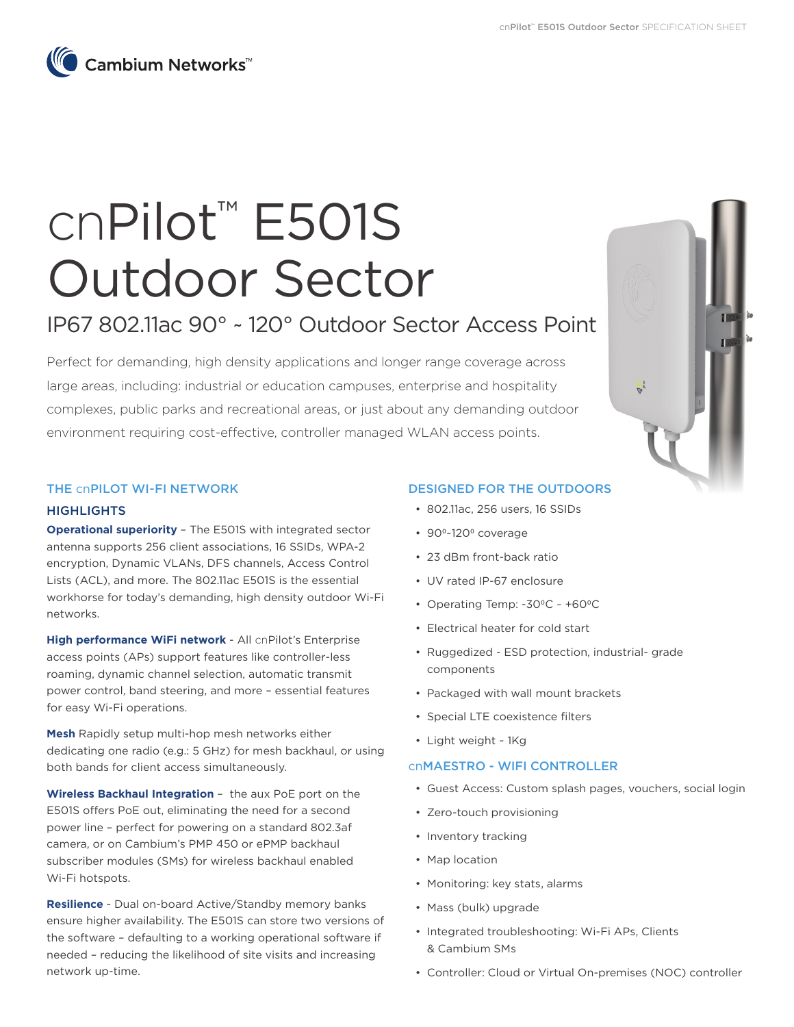

# cnPilot™ E501S Outdoor Sector

# IP67 802.11ac 90° ~ 120° Outdoor Sector Access Point

Perfect for demanding, high density applications and longer range coverage across large areas, including: industrial or education campuses, enterprise and hospitality complexes, public parks and recreational areas, or just about any demanding outdoor environment requiring cost-effective, controller managed WLAN access points.

# THE cnPILOT WI-FI NETWORK

#### **HIGHLIGHTS**

**Operational superiority** – The E501S with integrated sector antenna supports 256 client associations, 16 SSIDs, WPA-2 encryption, Dynamic VLANs, DFS channels, Access Control Lists (ACL), and more. The 802.11ac E501S is the essential workhorse for today's demanding, high density outdoor Wi-Fi networks.

**High performance WiFi network** - All cnPilot's Enterprise access points (APs) support features like controller-less roaming, dynamic channel selection, automatic transmit power control, band steering, and more – essential features for easy Wi-Fi operations.

**Mesh** Rapidly setup multi-hop mesh networks either dedicating one radio (e.g.: 5 GHz) for mesh backhaul, or using both bands for client access simultaneously.

**Wireless Backhaul Integration** – the aux PoE port on the E501S offers PoE out, eliminating the need for a second power line – perfect for powering on a standard 802.3af camera, or on Cambium's PMP 450 or ePMP backhaul subscriber modules (SMs) for wireless backhaul enabled Wi-Fi hotspots.

**Resilience** - Dual on-board Active/Standby memory banks ensure higher availability. The E501S can store two versions of the software – defaulting to a working operational software if needed – reducing the likelihood of site visits and increasing network up-time.

## DESIGNED FOR THE OUTDOORS

- 802.11ac, 256 users, 16 SSIDs
- 90<sup>o</sup>~120<sup>o</sup> coverage
- 23 dBm front-back ratio
- UV rated IP-67 enclosure
- Operating Temp:  $-30^{\circ}$ C ~  $+60^{\circ}$ C
- Electrical heater for cold start
- Ruggedized ESD protection, industrial- grade components
- Packaged with wall mount brackets
- Special LTE coexistence filters
- Light weight ~ 1Kg

#### cnMAESTRO - WIFI CONTROLLER

- Guest Access: Custom splash pages, vouchers, social login
- Zero-touch provisioning
- Inventory tracking
- Map location
- Monitoring: key stats, alarms
- Mass (bulk) upgrade
- Integrated troubleshooting: Wi-Fi APs, Clients & Cambium SMs
- Controller: Cloud or Virtual On-premises (NOC) controller

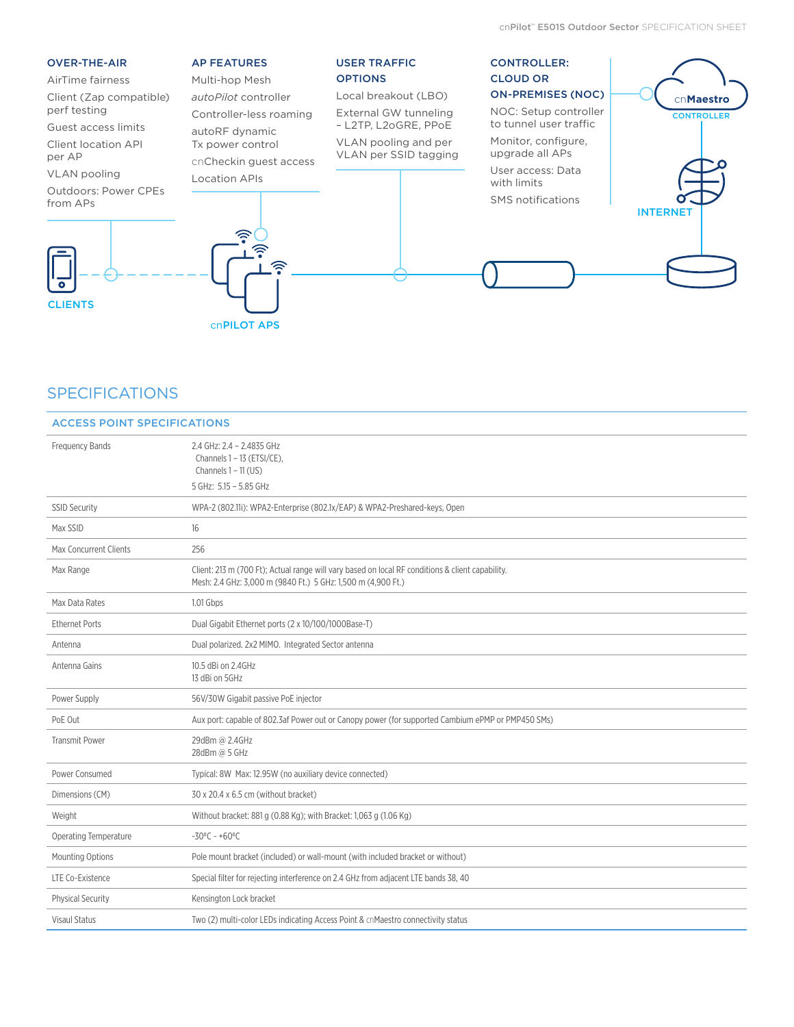#### OVER-THE-AIR

#### AirTime fairness

Client (Zap compatible) perf testing

Guest access limits

Client location API

per AP

VLAN pooling

Outdoors: Power CPEs from APs



# AP FEATURES

Multi-hop Mesh *autoPilot* controller Controller-less roaming autoRF dynamic

Tx power control cnCheckin guest access Location APIs

ি∙

∕≅

## USER TRAFFIC **OPTIONS**

Local breakout (LBO) External GW tunneling – L2TP, L2oGRE, PPoE

VLAN pooling and per VLAN per SSID tagging

# CONTROLLER: CLOUD OR ON-PREMISES (NOC)

NOC: Setup controller to tunnel user traffic Monitor, configure, upgrade all APs User access: Data with limits SMS notifications



# **SPECIFICATIONS**

| <b>ACCESS POINT SPECIFICATIONS</b> |                                                                                                                                                                  |  |  |
|------------------------------------|------------------------------------------------------------------------------------------------------------------------------------------------------------------|--|--|
| <b>Frequency Bands</b>             | 2.4 GHz: 2.4 - 2.4835 GHz<br>Channels 1 - 13 (ETSI/CE),<br>Channels $1 - 11$ (US)<br>5 GHz: 5.15 - 5.85 GHz                                                      |  |  |
| <b>SSID Security</b>               | WPA-2 (802.11i): WPA2-Enterprise (802.1x/EAP) & WPA2-Preshared-keys, Open                                                                                        |  |  |
| Max SSID                           | 16                                                                                                                                                               |  |  |
| <b>Max Concurrent Clients</b>      | 256                                                                                                                                                              |  |  |
| Max Range                          | Client: 213 m (700 Ft); Actual range will vary based on local RF conditions & client capability.<br>Mesh: 2.4 GHz: 3,000 m (9840 Ft.) 5 GHz: 1,500 m (4,900 Ft.) |  |  |
| Max Data Rates                     | 1.01 Gbps                                                                                                                                                        |  |  |
| <b>Ethernet Ports</b>              | Dual Gigabit Ethernet ports (2 x 10/100/1000Base-T)                                                                                                              |  |  |
| Antenna                            | Dual polarized. 2x2 MIMO. Integrated Sector antenna                                                                                                              |  |  |
| Antenna Gains                      | 10.5 dBi on 2.4GHz<br>13 dBi on 5GHz                                                                                                                             |  |  |
| Power Supply                       | 56V/30W Gigabit passive PoE injector                                                                                                                             |  |  |
| PoE Out                            | Aux port: capable of 802.3af Power out or Canopy power (for supported Cambium ePMP or PMP450 SMs)                                                                |  |  |
| <b>Transmit Power</b>              | 29dBm @ 2.4GHz<br>28dBm @ 5 GHz                                                                                                                                  |  |  |
| Power Consumed                     | Typical: 8W Max: 12.95W (no auxiliary device connected)                                                                                                          |  |  |
| Dimensions (CM)                    | 30 x 20.4 x 6.5 cm (without bracket)                                                                                                                             |  |  |
| Weight                             | Without bracket: 881 g (0.88 Kg); with Bracket: 1,063 g (1.06 Kg)                                                                                                |  |  |
| Operating Temperature              | $-30^{\circ}$ C ~ +60°C                                                                                                                                          |  |  |
| <b>Mounting Options</b>            | Pole mount bracket (included) or wall-mount (with included bracket or without)                                                                                   |  |  |
| LTE Co-Existence                   | Special filter for rejecting interference on 2.4 GHz from adjacent LTE bands 38, 40                                                                              |  |  |
| <b>Physical Security</b>           | Kensington Lock bracket                                                                                                                                          |  |  |
| <b>Visaul Status</b>               | Two (2) multi-color LEDs indicating Access Point & cnMaestro connectivity status                                                                                 |  |  |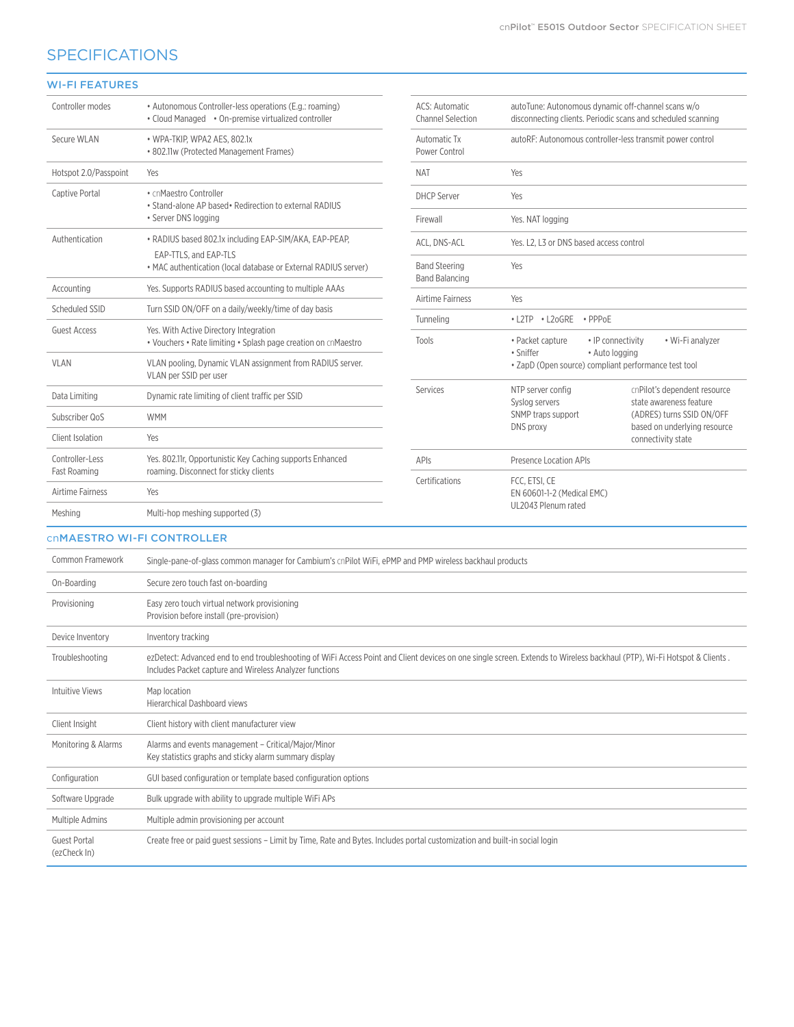# **SPECIFICATIONS**

# WI-FI FEATURES

| Controller modes                    | • Autonomous Controller-less operations (E.g.: roaming)<br>• Cloud Managed • On-premise virtualized controller                                                                                                                      | <b>ACS: Automatic</b><br><b>Channel Selection</b> | autoTune: Autonomous dynamic off-channel scans w/o<br>disconnecting clients. Periodic scans and scheduled scanning |  |
|-------------------------------------|-------------------------------------------------------------------------------------------------------------------------------------------------------------------------------------------------------------------------------------|---------------------------------------------------|--------------------------------------------------------------------------------------------------------------------|--|
| Secure WLAN                         | • WPA-TKIP, WPA2 AES, 802.1x<br>• 802.11w (Protected Management Frames)                                                                                                                                                             | Automatic Tx<br>Power Control                     | autoRF: Autonomous controller-less transmit power control                                                          |  |
| Hotspot 2.0/Passpoint               | Yes                                                                                                                                                                                                                                 | <b>NAT</b>                                        | Yes                                                                                                                |  |
| Captive Portal                      | • cnMaestro Controller<br>. Stand-alone AP based. Redirection to external RADIUS<br>• Server DNS logging                                                                                                                            | <b>DHCP Server</b>                                | Yes                                                                                                                |  |
|                                     |                                                                                                                                                                                                                                     | Firewall                                          | Yes. NAT logging                                                                                                   |  |
| Authentication                      | • RADIUS based 802.1x including EAP-SIM/AKA, EAP-PEAP,<br>EAP-TTLS, and EAP-TLS<br>• MAC authentication (local database or External RADIUS server)                                                                                  | ACL, DNS-ACL                                      | Yes. L2. L3 or DNS based access control                                                                            |  |
|                                     |                                                                                                                                                                                                                                     | <b>Band Steering</b>                              | Yes                                                                                                                |  |
| Accounting                          | Yes. Supports RADIUS based accounting to multiple AAAs                                                                                                                                                                              | <b>Band Balancing</b>                             |                                                                                                                    |  |
| Scheduled SSID                      | Turn SSID ON/OFF on a daily/weekly/time of day basis                                                                                                                                                                                | Airtime Fairness                                  | Yes                                                                                                                |  |
| <b>Guest Access</b>                 | Yes. With Active Directory Integration                                                                                                                                                                                              | Tunneling                                         | $\bullet$ PPP <sub>O</sub> E<br>• L2TP • L2oGRE                                                                    |  |
|                                     | • Vouchers • Rate limiting • Splash page creation on cnMaestro                                                                                                                                                                      | Tools                                             | • IP connectivity<br>• Wi-Fi analyzer<br>• Packet capture<br>• Sniffer<br>• Auto logging                           |  |
| <b>VLAN</b>                         | VLAN pooling, Dynamic VLAN assignment from RADIUS server.<br>VLAN per SSID per user                                                                                                                                                 |                                                   | · ZapD (Open source) compliant performance test tool                                                               |  |
| Data Limiting                       | Dynamic rate limiting of client traffic per SSID                                                                                                                                                                                    | Services                                          | NTP server config<br>cnPilot's dependent resource<br>Syslog servers<br>state awareness feature                     |  |
| Subscriber QoS                      | <b>WMM</b>                                                                                                                                                                                                                          |                                                   | SNMP traps support<br>(ADRES) turns SSID ON/OFF<br>DNS proxy<br>based on underlying resource                       |  |
| Client Isolation                    | Yes                                                                                                                                                                                                                                 |                                                   | connectivity state                                                                                                 |  |
| Controller-Less<br>Fast Roaming     | Yes. 802.11r, Opportunistic Key Caching supports Enhanced<br>roaming. Disconnect for sticky clients                                                                                                                                 | APIs                                              | Presence Location APIs                                                                                             |  |
| Airtime Fairness                    | Yes                                                                                                                                                                                                                                 | Certifications                                    | FCC, ETSI, CE<br>EN 60601-1-2 (Medical EMC)                                                                        |  |
| Meshing                             | Multi-hop meshing supported (3)                                                                                                                                                                                                     |                                                   | UL2043 Plenum rated                                                                                                |  |
|                                     | <b>CNMAESTRO WI-FI CONTROLLER</b>                                                                                                                                                                                                   |                                                   |                                                                                                                    |  |
| Common Framework                    | Single-pane-of-glass common manager for Cambium's cnPilot WiFi, ePMP and PMP wireless backhaul products                                                                                                                             |                                                   |                                                                                                                    |  |
| On-Boarding                         | Secure zero touch fast on-boarding                                                                                                                                                                                                  |                                                   |                                                                                                                    |  |
| Provisioning                        | Easy zero touch virtual network provisioning<br>Provision before install (pre-provision)                                                                                                                                            |                                                   |                                                                                                                    |  |
| Device Inventory                    | Inventory tracking                                                                                                                                                                                                                  |                                                   |                                                                                                                    |  |
| Troubleshooting                     | ezDetect: Advanced end to end troubleshooting of WiFi Access Point and Client devices on one single screen. Extends to Wireless backhaul (PTP), Wi-Fi Hotspot & Clients.<br>Includes Packet capture and Wireless Analyzer functions |                                                   |                                                                                                                    |  |
| <b>Intuitive Views</b>              | Map location<br><b>Hierarchical Dashboard views</b>                                                                                                                                                                                 |                                                   |                                                                                                                    |  |
| Client Insight                      | Client history with client manufacturer view                                                                                                                                                                                        |                                                   |                                                                                                                    |  |
| Monitoring & Alarms                 | Alarms and events management - Critical/Major/Minor<br>Key statistics graphs and sticky alarm summary display                                                                                                                       |                                                   |                                                                                                                    |  |
| Configuration                       | GUI based configuration or template based configuration options                                                                                                                                                                     |                                                   |                                                                                                                    |  |
| Software Upgrade                    | Bulk upgrade with ability to upgrade multiple WiFi APs                                                                                                                                                                              |                                                   |                                                                                                                    |  |
| Multiple Admins                     | Multiple admin provisioning per account                                                                                                                                                                                             |                                                   |                                                                                                                    |  |
| <b>Guest Portal</b><br>(ezCheck In) | Create free or paid guest sessions – Limit by Time, Rate and Bytes. Includes portal customization and built-in social login                                                                                                         |                                                   |                                                                                                                    |  |